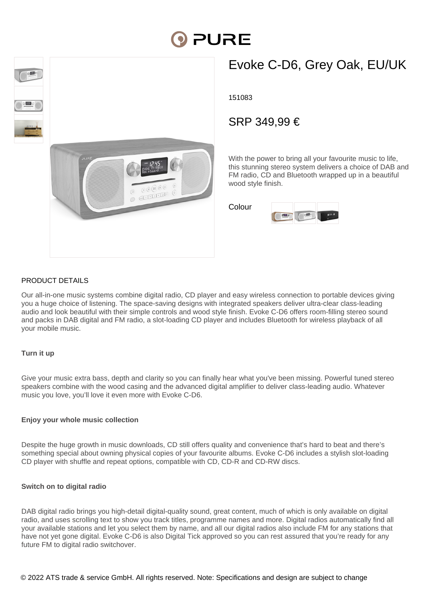



# Evoke C-D6, Grey Oak, EU/UK

151083

# SRP 349,99 €

With the power to bring all your favourite music to life. this stunning stereo system delivers a choice of DAB and FM radio, CD and Bluetooth wrapped up in a beautiful wood style finish.

Colour



### PRODUCT DETAILS

Our all-in-one music systems combine digital radio, CD player and easy wireless connection to portable devices giving you a huge choice of listening. The space-saving designs with integrated speakers deliver ultra-clear class-leading audio and look beautiful with their simple controls and wood style finish. Evoke C-D6 offers room-filling stereo sound and packs in DAB digital and FM radio, a slot-loading CD player and includes Bluetooth for wireless playback of all your mobile music.

#### **Turn it up**

Give your music extra bass, depth and clarity so you can finally hear what you've been missing. Powerful tuned stereo speakers combine with the wood casing and the advanced digital amplifier to deliver class-leading audio. Whatever music you love, you'll love it even more with Evoke C-D6.

#### **Enjoy your whole music collection**

Despite the huge growth in music downloads, CD still offers quality and convenience that's hard to beat and there's something special about owning physical copies of your favourite albums. Evoke C-D6 includes a stylish slot-loading CD player with shuffle and repeat options, compatible with CD, CD-R and CD-RW discs.

#### **Switch on to digital radio**

DAB digital radio brings you high-detail digital-quality sound, great content, much of which is only available on digital radio, and uses scrolling text to show you track titles, programme names and more. Digital radios automatically find all your available stations and let you select them by name, and all our digital radios also include FM for any stations that have not yet gone digital. Evoke C-D6 is also Digital Tick approved so you can rest assured that you're ready for any future FM to digital radio switchover.